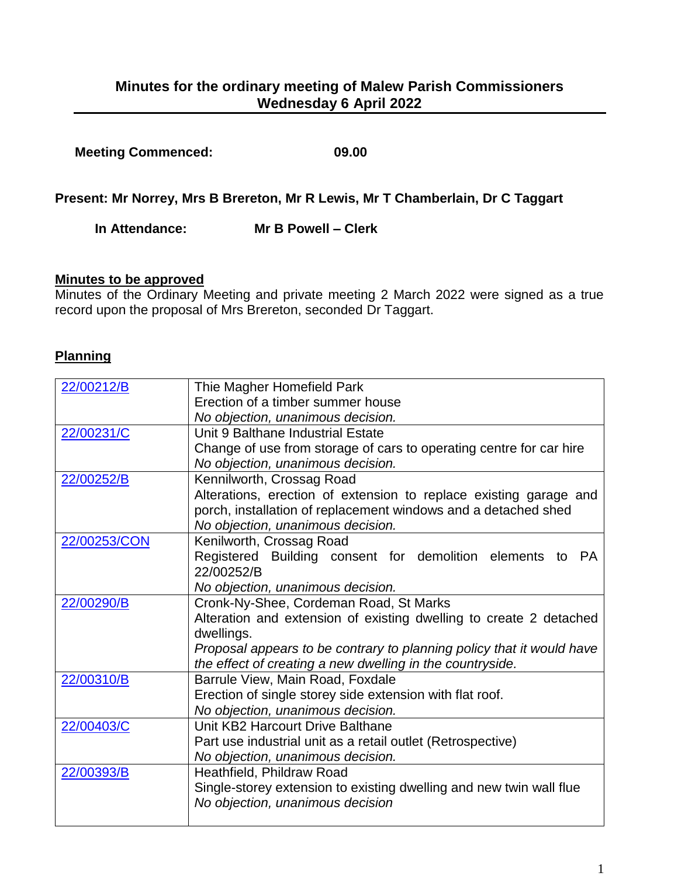| <b>Meeting Commenced:</b> | 09.00 |
|---------------------------|-------|
|                           |       |

**Present: Mr Norrey, Mrs B Brereton, Mr R Lewis, Mr T Chamberlain, Dr C Taggart**

**In Attendance: Mr B Powell – Clerk**

# **Minutes to be approved**

Minutes of the Ordinary Meeting and private meeting 2 March 2022 were signed as a true record upon the proposal of Mrs Brereton, seconded Dr Taggart.

# **Planning**

| 22/00212/B   | Thie Magher Homefield Park                                            |
|--------------|-----------------------------------------------------------------------|
|              | Erection of a timber summer house                                     |
|              | No objection, unanimous decision.                                     |
| 22/00231/C   | Unit 9 Balthane Industrial Estate                                     |
|              | Change of use from storage of cars to operating centre for car hire   |
|              | No objection, unanimous decision.                                     |
| 22/00252/B   | Kennilworth, Crossag Road                                             |
|              | Alterations, erection of extension to replace existing garage and     |
|              | porch, installation of replacement windows and a detached shed        |
|              | No objection, unanimous decision.                                     |
| 22/00253/CON | Kenilworth, Crossag Road                                              |
|              | Registered Building consent for demolition elements to PA             |
|              | 22/00252/B                                                            |
|              | No objection, unanimous decision.                                     |
| 22/00290/B   | Cronk-Ny-Shee, Cordeman Road, St Marks                                |
|              | Alteration and extension of existing dwelling to create 2 detached    |
|              | dwellings.                                                            |
|              | Proposal appears to be contrary to planning policy that it would have |
|              | the effect of creating a new dwelling in the countryside.             |
| 22/00310/B   | Barrule View, Main Road, Foxdale                                      |
|              | Erection of single storey side extension with flat roof.              |
|              | No objection, unanimous decision.                                     |
| 22/00403/C   | Unit KB2 Harcourt Drive Balthane                                      |
|              | Part use industrial unit as a retail outlet (Retrospective)           |
|              | No objection, unanimous decision.                                     |
| 22/00393/B   | Heathfield, Phildraw Road                                             |
|              | Single-storey extension to existing dwelling and new twin wall flue   |
|              | No objection, unanimous decision                                      |
|              |                                                                       |